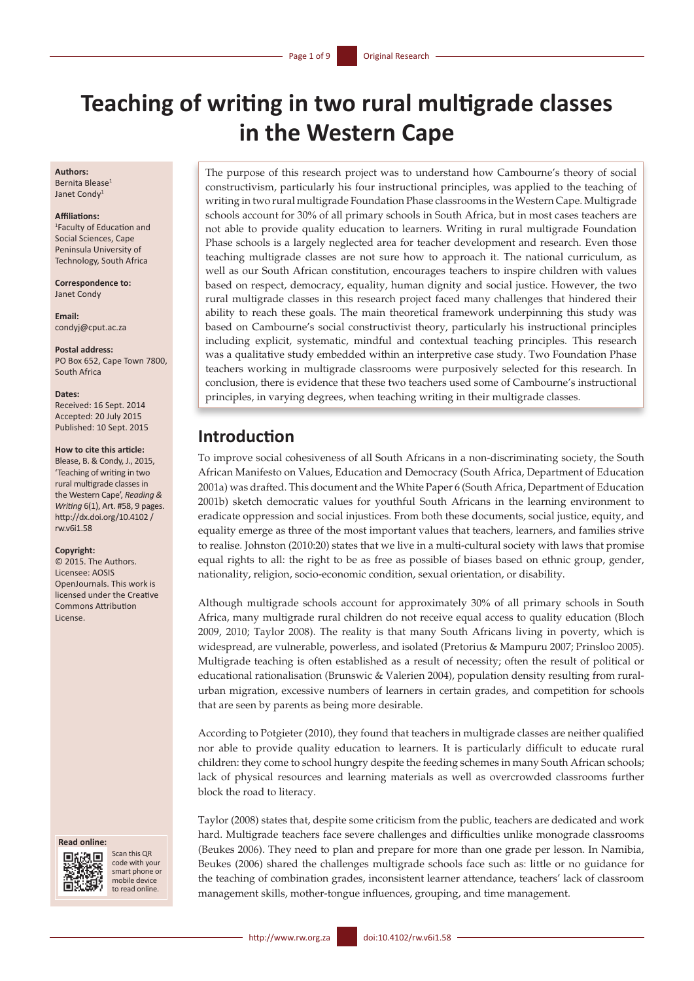# **Teaching of writing in two rural multigrade classes in the Western Cape**

#### **Authors:** Bernita Blease<sup>1</sup>

Janet Condy1

#### **Affiliations:**

1 Faculty of Education and Social Sciences, Cape Peninsula University of Technology, South Africa

**Correspondence to:** Janet Condy

**Email:** [condyj@cput.ac.za](mailto:condyj@cput.ac.za)

**Postal address:** PO Box 652, Cape Town 7800, South Africa

#### **Dates:**

Received: 16 Sept. 2014 Accepted: 20 July 2015 Published: 10 Sept. 2015

#### **How to cite this article:**

Blease, B. & Condy, J., 2015, 'Teaching of writing in two rural multigrade classes in the Western Cape', *Reading & Writing* 6(1), Art. #58, 9 pages. [http://dx.doi.org/10.4102 /](http://dx.doi.org/10.4102 /rw.v6i1.58) [rw.v6i1.58](http://dx.doi.org/10.4102 /rw.v6i1.58)

#### **Copyright:**

© 2015. The Authors. Licensee: AOSIS OpenJournals. This work is licensed under the Creative Commons Attribution License.

#### **Read online:**



Scan this QR code with your smart phone or mobile device to read online.

The purpose of this research project was to understand how Cambourne's theory of social constructivism, particularly his four instructional principles, was applied to the teaching of writing in two rural multigrade Foundation Phase classrooms in the Western Cape. Multigrade schools account for 30% of all primary schools in South Africa, but in most cases teachers are not able to provide quality education to learners. Writing in rural multigrade Foundation Phase schools is a largely neglected area for teacher development and research. Even those teaching multigrade classes are not sure how to approach it. The national curriculum, as well as our South African constitution, encourages teachers to inspire children with values based on respect, democracy, equality, human dignity and social justice. However, the two rural multigrade classes in this research project faced many challenges that hindered their ability to reach these goals. The main theoretical framework underpinning this study was based on Cambourne's social constructivist theory, particularly his instructional principles including explicit, systematic, mindful and contextual teaching principles. This research was a qualitative study embedded within an interpretive case study. Two Foundation Phase teachers working in multigrade classrooms were purposively selected for this research. In conclusion, there is evidence that these two teachers used some of Cambourne's instructional principles, in varying degrees, when teaching writing in their multigrade classes.

# **Introduction**

To improve social cohesiveness of all South Africans in a non-discriminating society, the South African Manifesto on Values, Education and Democracy (South Africa, Department of Education 2001a) was drafted. This document and the White Paper 6 (South Africa, Department of Education 2001b) sketch democratic values for youthful South Africans in the learning environment to eradicate oppression and social injustices. From both these documents, social justice, equity, and equality emerge as three of the most important values that teachers, learners, and families strive to realise. Johnston (2010:20) states that we live in a multi-cultural society with laws that promise equal rights to all: the right to be as free as possible of biases based on ethnic group, gender, nationality, religion, socio-economic condition, sexual orientation, or disability.

Although multigrade schools account for approximately 30% of all primary schools in South Africa, many multigrade rural children do not receive equal access to quality education (Bloch 2009, 2010; Taylor 2008). The reality is that many South Africans living in poverty, which is widespread, are vulnerable, powerless, and isolated (Pretorius & Mampuru 2007; Prinsloo 2005). Multigrade teaching is often established as a result of necessity; often the result of political or educational rationalisation (Brunswic & Valerien 2004), population density resulting from ruralurban migration, excessive numbers of learners in certain grades, and competition for schools that are seen by parents as being more desirable.

According to Potgieter (2010), they found that teachers in multigrade classes are neither qualified nor able to provide quality education to learners. It is particularly difficult to educate rural children: they come to school hungry despite the feeding schemes in many South African schools; lack of physical resources and learning materials as well as overcrowded classrooms further block the road to literacy.

Taylor (2008) states that, despite some criticism from the public, teachers are dedicated and work hard. Multigrade teachers face severe challenges and difficulties unlike monograde classrooms (Beukes 2006). They need to plan and prepare for more than one grade per lesson. In Namibia, Beukes (2006) shared the challenges multigrade schools face such as: little or no guidance for the teaching of combination grades, inconsistent learner attendance, teachers' lack of classroom management skills, mother-tongue influences, grouping, and time management.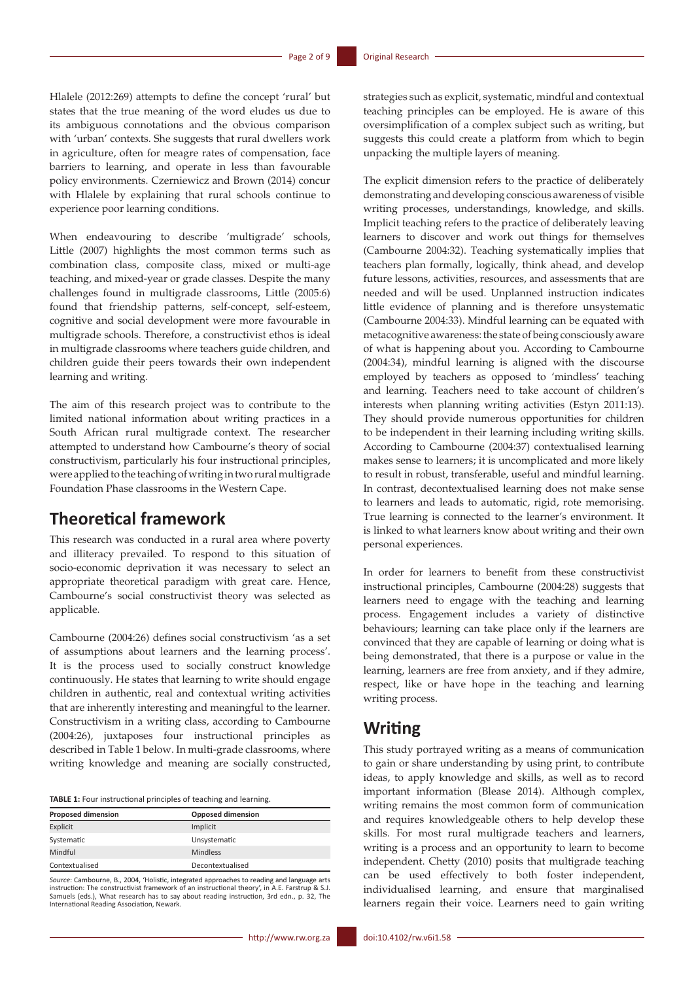Hlalele (2012:269) attempts to define the concept 'rural' but states that the true meaning of the word eludes us due to its ambiguous connotations and the obvious comparison with 'urban' contexts. She suggests that rural dwellers work in agriculture, often for meagre rates of compensation, face barriers to learning, and operate in less than favourable policy environments. Czerniewicz and Brown (2014) concur with Hlalele by explaining that rural schools continue to experience poor learning conditions.

When endeavouring to describe 'multigrade' schools, Little (2007) highlights the most common terms such as combination class, composite class, mixed or multi-age teaching, and mixed-year or grade classes. Despite the many challenges found in multigrade classrooms, Little (2005:6) found that friendship patterns, self-concept, self-esteem, cognitive and social development were more favourable in multigrade schools. Therefore, a constructivist ethos is ideal in multigrade classrooms where teachers guide children, and children guide their peers towards their own independent learning and writing.

The aim of this research project was to contribute to the limited national information about writing practices in a South African rural multigrade context. The researcher attempted to understand how Cambourne's theory of social constructivism, particularly his four instructional principles, were applied to the teaching of writing in two rural multigrade Foundation Phase classrooms in the Western Cape.

# **Theoretical framework**

This research was conducted in a rural area where poverty and illiteracy prevailed. To respond to this situation of socio-economic deprivation it was necessary to select an appropriate theoretical paradigm with great care. Hence, Cambourne's social constructivist theory was selected as applicable.

Cambourne (2004:26) defines social constructivism 'as a set of assumptions about learners and the learning process'. It is the process used to socially construct knowledge continuously. He states that learning to write should engage children in authentic, real and contextual writing activities that are inherently interesting and meaningful to the learner. Constructivism in a writing class, according to Cambourne (2004:26), juxtaposes four instructional principles as described in Table 1 below. In multi-grade classrooms, where writing knowledge and meaning are socially constructed,

| TABLE 1: Four instructional principles of teaching and learning. |  |  |  |
|------------------------------------------------------------------|--|--|--|
|------------------------------------------------------------------|--|--|--|

| <b>Proposed dimension</b> | <b>Opposed dimension</b> |  |
|---------------------------|--------------------------|--|
| Explicit                  | Implicit                 |  |
| Systematic                | Unsystematic             |  |
| Mindful                   | <b>Mindless</b>          |  |
| Contextualised            | Decontextualised         |  |
|                           |                          |  |

Source: Cambourne, B., 2004, 'Holistic, integrated approaches to reading and language arts<br>instruction: The constructivist framework of an instructional theory', in A.E. Farstrup & S.J.<br>Samuels (eds.), What research has to International Reading Association, Newark.

strategies such as explicit, systematic, mindful and contextual teaching principles can be employed. He is aware of this oversimplification of a complex subject such as writing, but suggests this could create a platform from which to begin unpacking the multiple layers of meaning.

The explicit dimension refers to the practice of deliberately demonstrating and developing conscious awareness of visible writing processes, understandings, knowledge, and skills. Implicit teaching refers to the practice of deliberately leaving learners to discover and work out things for themselves (Cambourne 2004:32). Teaching systematically implies that teachers plan formally, logically, think ahead, and develop future lessons, activities, resources, and assessments that are needed and will be used. Unplanned instruction indicates little evidence of planning and is therefore unsystematic (Cambourne 2004:33). Mindful learning can be equated with metacognitive awareness: the state of being consciously aware of what is happening about you. According to Cambourne (2004:34), mindful learning is aligned with the discourse employed by teachers as opposed to 'mindless' teaching and learning. Teachers need to take account of children's interests when planning writing activities (Estyn 2011:13). They should provide numerous opportunities for children to be independent in their learning including writing skills. According to Cambourne (2004:37) contextualised learning makes sense to learners; it is uncomplicated and more likely to result in robust, transferable, useful and mindful learning. In contrast, decontextualised learning does not make sense to learners and leads to automatic, rigid, rote memorising. True learning is connected to the learner's environment. It is linked to what learners know about writing and their own personal experiences.

In order for learners to benefit from these constructivist instructional principles, Cambourne (2004:28) suggests that learners need to engage with the teaching and learning process. Engagement includes a variety of distinctive behaviours; learning can take place only if the learners are convinced that they are capable of learning or doing what is being demonstrated, that there is a purpose or value in the learning, learners are free from anxiety, and if they admire, respect, like or have hope in the teaching and learning writing process.

### **Writing**

This study portrayed writing as a means of communication to gain or share understanding by using print, to contribute ideas, to apply knowledge and skills, as well as to record important information (Blease 2014). Although complex, writing remains the most common form of communication and requires knowledgeable others to help develop these skills. For most rural multigrade teachers and learners, writing is a process and an opportunity to learn to become independent. Chetty (2010) posits that multigrade teaching can be used effectively to both foster independent, individualised learning, and ensure that marginalised learners regain their voice. Learners need to gain writing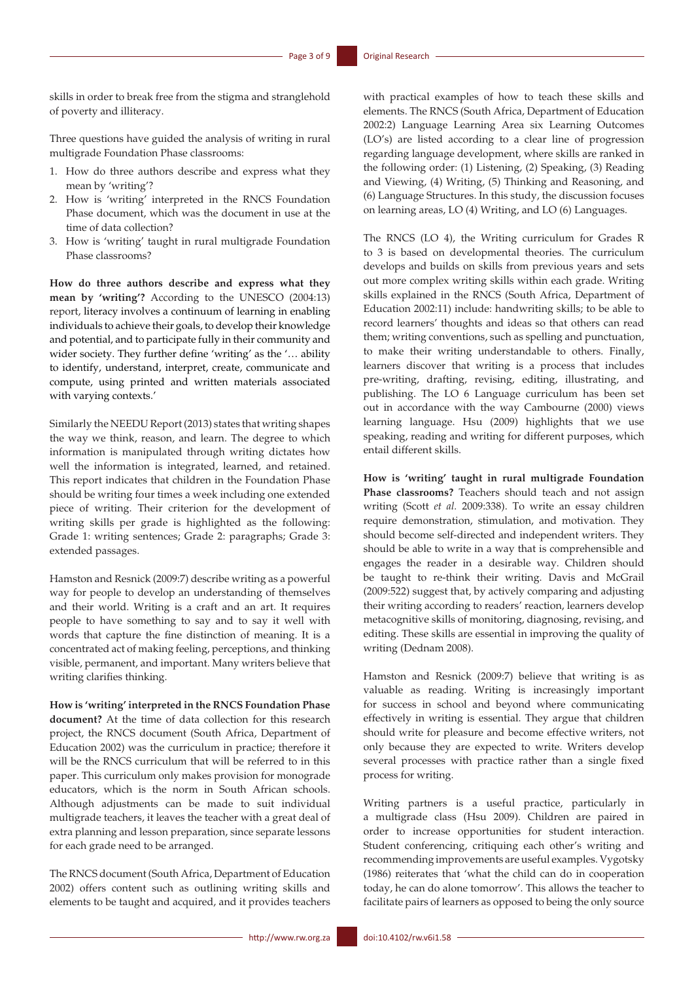skills in order to break free from the stigma and stranglehold of poverty and illiteracy.

Three questions have guided the analysis of writing in rural multigrade Foundation Phase classrooms:

- 1. How do three authors describe and express what they mean by 'writing'?
- 2. How is 'writing' interpreted in the RNCS Foundation Phase document, which was the document in use at the time of data collection?
- 3. How is 'writing' taught in rural multigrade Foundation Phase classrooms?

**How do three authors describe and express what they mean by 'writing'?** According to the UNESCO (2004:13) report, literacy involves a continuum of learning in enabling individuals to achieve their goals, to develop their knowledge and potential, and to participate fully in their community and wider society. They further define 'writing' as the '… ability to identify, understand, interpret, create, communicate and compute, using printed and written materials associated with varying contexts.'

Similarly the NEEDU Report (2013) states that writing shapes the way we think, reason, and learn. The degree to which information is manipulated through writing dictates how well the information is integrated, learned, and retained. This report indicates that children in the Foundation Phase should be writing four times a week including one extended piece of writing. Their criterion for the development of writing skills per grade is highlighted as the following: Grade 1: writing sentences; Grade 2: paragraphs; Grade 3: extended passages.

Hamston and Resnick (2009:7) describe writing as a powerful way for people to develop an understanding of themselves and their world. Writing is a craft and an art. It requires people to have something to say and to say it well with words that capture the fine distinction of meaning. It is a concentrated act of making feeling, perceptions, and thinking visible, permanent, and important. Many writers believe that writing clarifies thinking.

**How is 'writing' interpreted in the RNCS Foundation Phase document?** At the time of data collection for this research project, the RNCS document (South Africa, Department of Education 2002) was the curriculum in practice; therefore it will be the RNCS curriculum that will be referred to in this paper. This curriculum only makes provision for monograde educators, which is the norm in South African schools. Although adjustments can be made to suit individual multigrade teachers, it leaves the teacher with a great deal of extra planning and lesson preparation, since separate lessons for each grade need to be arranged.

The RNCS document (South Africa, Department of Education 2002) offers content such as outlining writing skills and elements to be taught and acquired, and it provides teachers with practical examples of how to teach these skills and elements. The RNCS (South Africa, Department of Education 2002:2) Language Learning Area six Learning Outcomes (LO's) are listed according to a clear line of progression regarding language development, where skills are ranked in the following order: (1) Listening, (2) Speaking, (3) Reading and Viewing, (4) Writing, (5) Thinking and Reasoning, and (6) Language Structures. In this study, the discussion focuses on learning areas, LO (4) Writing, and LO (6) Languages.

The RNCS (LO 4), the Writing curriculum for Grades R to 3 is based on developmental theories. The curriculum develops and builds on skills from previous years and sets out more complex writing skills within each grade. Writing skills explained in the RNCS (South Africa, Department of Education 2002:11) include: handwriting skills; to be able to record learners' thoughts and ideas so that others can read them; writing conventions, such as spelling and punctuation, to make their writing understandable to others. Finally, learners discover that writing is a process that includes pre-writing, drafting, revising, editing, illustrating, and publishing. The LO 6 Language curriculum has been set out in accordance with the way Cambourne (2000) views learning language. Hsu (2009) highlights that we use speaking, reading and writing for different purposes, which entail different skills.

**How is 'writing' taught in rural multigrade Foundation Phase classrooms?** Teachers should teach and not assign writing (Scott *et al.* 2009:338). To write an essay children require demonstration, stimulation, and motivation. They should become self-directed and independent writers. They should be able to write in a way that is comprehensible and engages the reader in a desirable way. Children should be taught to re-think their writing. Davis and McGrail (2009:522) suggest that, by actively comparing and adjusting their writing according to readers' reaction, learners develop metacognitive skills of monitoring, diagnosing, revising, and editing. These skills are essential in improving the quality of writing (Dednam 2008).

Hamston and Resnick (2009:7) believe that writing is as valuable as reading. Writing is increasingly important for success in school and beyond where communicating effectively in writing is essential. They argue that children should write for pleasure and become effective writers, not only because they are expected to write. Writers develop several processes with practice rather than a single fixed process for writing.

Writing partners is a useful practice, particularly in a multigrade class (Hsu 2009). Children are paired in order to increase opportunities for student interaction. Student conferencing, critiquing each other's writing and recommending improvements are useful examples. Vygotsky (1986) reiterates that 'what the child can do in cooperation today, he can do alone tomorrow'. This allows the teacher to facilitate pairs of learners as opposed to being the only source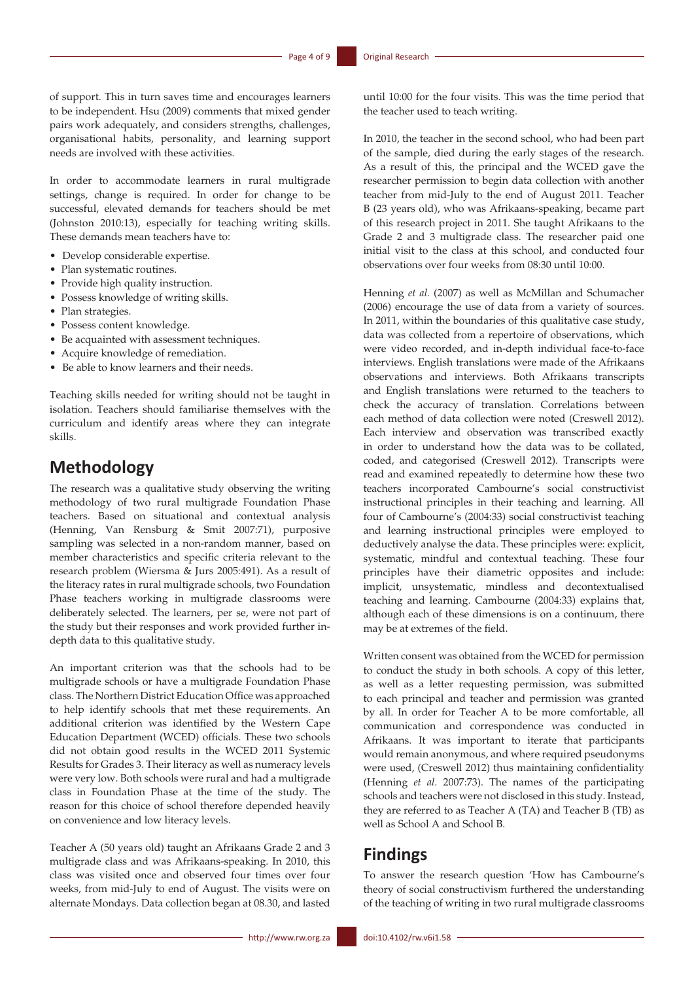of support. This in turn saves time and encourages learners to be independent. Hsu (2009) comments that mixed gender pairs work adequately, and considers strengths, challenges, organisational habits, personality, and learning support needs are involved with these activities.

In order to accommodate learners in rural multigrade settings, change is required. In order for change to be successful, elevated demands for teachers should be met (Johnston 2010:13), especially for teaching writing skills. These demands mean teachers have to:

- Develop considerable expertise.
- Plan systematic routines.
- Provide high quality instruction.
- Possess knowledge of writing skills.
- Plan strategies.
- Possess content knowledge.
- Be acquainted with assessment techniques.
- Acquire knowledge of remediation.
- Be able to know learners and their needs.

Teaching skills needed for writing should not be taught in isolation. Teachers should familiarise themselves with the curriculum and identify areas where they can integrate skills.

# **Methodology**

The research was a qualitative study observing the writing methodology of two rural multigrade Foundation Phase teachers. Based on situational and contextual analysis (Henning, Van Rensburg & Smit 2007:71), purposive sampling was selected in a non-random manner, based on member characteristics and specific criteria relevant to the research problem (Wiersma & Jurs 2005:491). As a result of the literacy rates in rural multigrade schools, two Foundation Phase teachers working in multigrade classrooms were deliberately selected. The learners, per se, were not part of the study but their responses and work provided further indepth data to this qualitative study.

An important criterion was that the schools had to be multigrade schools or have a multigrade Foundation Phase class. The Northern District Education Office was approached to help identify schools that met these requirements. An additional criterion was identified by the Western Cape Education Department (WCED) officials. These two schools did not obtain good results in the WCED 2011 Systemic Results for Grades 3. Their literacy as well as numeracy levels were very low. Both schools were rural and had a multigrade class in Foundation Phase at the time of the study. The reason for this choice of school therefore depended heavily on convenience and low literacy levels.

Teacher A (50 years old) taught an Afrikaans Grade 2 and 3 multigrade class and was Afrikaans-speaking. In 2010, this class was visited once and observed four times over four weeks, from mid-July to end of August. The visits were on alternate Mondays. Data collection began at 08.30, and lasted

until 10:00 for the four visits. This was the time period that the teacher used to teach writing.

In 2010, the teacher in the second school, who had been part of the sample, died during the early stages of the research. As a result of this, the principal and the WCED gave the researcher permission to begin data collection with another teacher from mid-July to the end of August 2011. Teacher B (23 years old), who was Afrikaans-speaking, became part of this research project in 2011. She taught Afrikaans to the Grade 2 and 3 multigrade class. The researcher paid one initial visit to the class at this school, and conducted four observations over four weeks from 08:30 until 10:00.

Henning *et al.* (2007) as well as McMillan and Schumacher (2006) encourage the use of data from a variety of sources. In 2011, within the boundaries of this qualitative case study, data was collected from a repertoire of observations, which were video recorded, and in-depth individual face-to-face interviews. English translations were made of the Afrikaans observations and interviews. Both Afrikaans transcripts and English translations were returned to the teachers to check the accuracy of translation. Correlations between each method of data collection were noted (Creswell 2012). Each interview and observation was transcribed exactly in order to understand how the data was to be collated, coded, and categorised (Creswell 2012). Transcripts were read and examined repeatedly to determine how these two teachers incorporated Cambourne's social constructivist instructional principles in their teaching and learning. All four of Cambourne's (2004:33) social constructivist teaching and learning instructional principles were employed to deductively analyse the data. These principles were: explicit, systematic, mindful and contextual teaching. These four principles have their diametric opposites and include: implicit, unsystematic, mindless and decontextualised teaching and learning. Cambourne (2004:33) explains that, although each of these dimensions is on a continuum, there may be at extremes of the field.

Written consent was obtained from the WCED for permission to conduct the study in both schools. A copy of this letter, as well as a letter requesting permission, was submitted to each principal and teacher and permission was granted by all. In order for Teacher A to be more comfortable, all communication and correspondence was conducted in Afrikaans. It was important to iterate that participants would remain anonymous, and where required pseudonyms were used, (Creswell 2012) thus maintaining confidentiality (Henning *et al.* 2007:73). The names of the participating schools and teachers were not disclosed in this study. Instead, they are referred to as Teacher A (TA) and Teacher B (TB) as well as School A and School B.

### **Findings**

To answer the research question 'How has Cambourne's theory of social constructivism furthered the understanding of the teaching of writing in two rural multigrade classrooms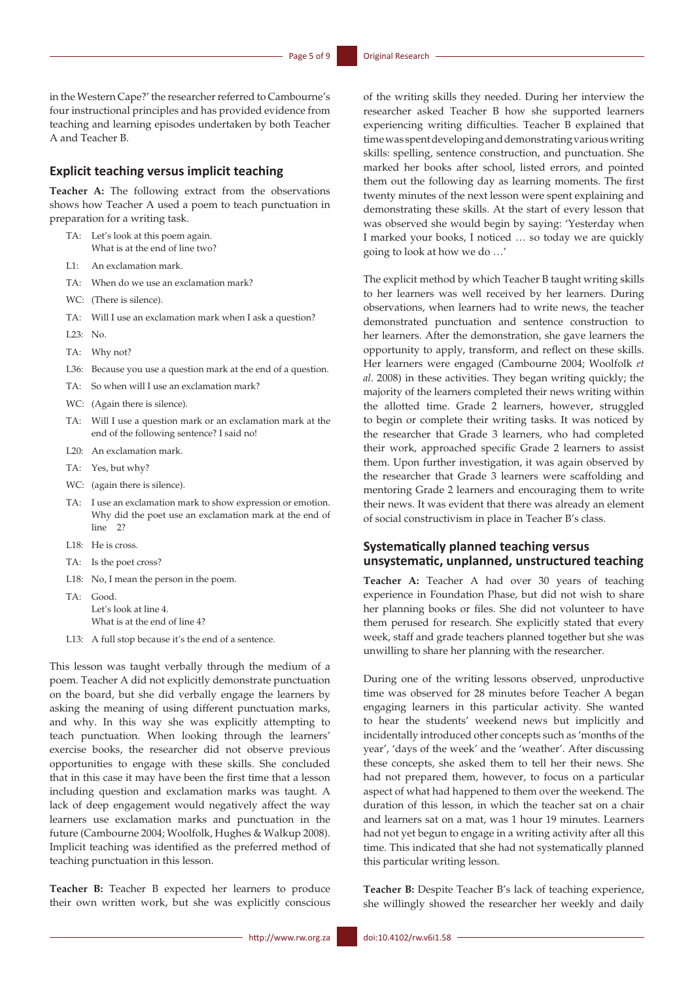in the Western Cape?' the researcher referred to Cambourne's four instructional principles and has provided evidence from teaching and learning episodes undertaken by both Teacher A and Teacher B.

#### **Explicit teaching versus implicit teaching**

**Teacher A:** The following extract from the observations shows how Teacher A used a poem to teach punctuation in preparation for a writing task.

- TA: Let's look at this poem again. What is at the end of line two?
- L1: An exclamation mark.
- TA: When do we use an exclamation mark?
- WC: (There is silence).
- TA: Will I use an exclamation mark when I ask a question?
- L23: No.
- TA: Why not?
- L36: Because you use a question mark at the end of a question.
- TA: So when will I use an exclamation mark?
- WC: (Again there is silence).
- TA: Will I use a question mark or an exclamation mark at the end of the following sentence? I said no!
- L20: An exclamation mark.
- TA: Yes, but why?
- WC: (again there is silence).
- TA: I use an exclamation mark to show expression or emotion. Why did the poet use an exclamation mark at the end of line 23
- L<sub>18</sub>: He is cross.
- TA: Is the poet cross?
- L18: No, I mean the person in the poem.
- $TA:$  Good. Let's look at line 4. What is at the end of line 4?
- L13: A full stop because it's the end of a sentence.

This lesson was taught verbally through the medium of a poem. Teacher A did not explicitly demonstrate punctuation on the board, but she did verbally engage the learners by asking the meaning of using different punctuation marks, and why. In this way she was explicitly attempting to teach punctuation. When looking through the learners' exercise books, the researcher did not observe previous opportunities to engage with these skills. She concluded that in this case it may have been the first time that a lesson including question and exclamation marks was taught. A lack of deep engagement would negatively affect the way learners use exclamation marks and punctuation in the future (Cambourne 2004; Woolfolk, Hughes & Walkup 2008). Implicit teaching was identified as the preferred method of teaching punctuation in this lesson.

**Teacher B:** Teacher B expected her learners to produce their own written work, but she was explicitly conscious

of the writing skills they needed. During her interview the researcher asked Teacher B how she supported learners experiencing writing difficulties. Teacher B explained that time was spent developing and demonstrating various writing skills: spelling, sentence construction, and punctuation. She marked her books after school, listed errors, and pointed them out the following day as learning moments. The first twenty minutes of the next lesson were spent explaining and demonstrating these skills. At the start of every lesson that was observed she would begin by saying: 'Yesterday when I marked your books, I noticed … so today we are quickly going to look at how we do …'

The explicit method by which Teacher B taught writing skills to her learners was well received by her learners. During observations, when learners had to write news, the teacher demonstrated punctuation and sentence construction to her learners. After the demonstration, she gave learners the opportunity to apply, transform, and reflect on these skills. Her learners were engaged (Cambourne 2004; Woolfolk *et al*. 2008) in these activities. They began writing quickly; the majority of the learners completed their news writing within the allotted time. Grade 2 learners, however, struggled to begin or complete their writing tasks. It was noticed by the researcher that Grade 3 learners, who had completed their work, approached specific Grade 2 learners to assist them. Upon further investigation, it was again observed by the researcher that Grade 3 learners were scaffolding and mentoring Grade 2 learners and encouraging them to write their news. It was evident that there was already an element of social constructivism in place in Teacher B's class.

### **Systematically planned teaching versus unsystematic, unplanned, unstructured teaching**

**Teacher A:** Teacher A had over 30 years of teaching experience in Foundation Phase, but did not wish to share her planning books or files. She did not volunteer to have them perused for research. She explicitly stated that every week, staff and grade teachers planned together but she was unwilling to share her planning with the researcher.

During one of the writing lessons observed, unproductive time was observed for 28 minutes before Teacher A began engaging learners in this particular activity. She wanted to hear the students' weekend news but implicitly and incidentally introduced other concepts such as 'months of the year', 'days of the week' and the 'weather'. After discussing these concepts, she asked them to tell her their news. She had not prepared them, however, to focus on a particular aspect of what had happened to them over the weekend. The duration of this lesson, in which the teacher sat on a chair and learners sat on a mat, was 1 hour 19 minutes. Learners had not yet begun to engage in a writing activity after all this time. This indicated that she had not systematically planned this particular writing lesson.

**Teacher B:** Despite Teacher B's lack of teaching experience, she willingly showed the researcher her weekly and daily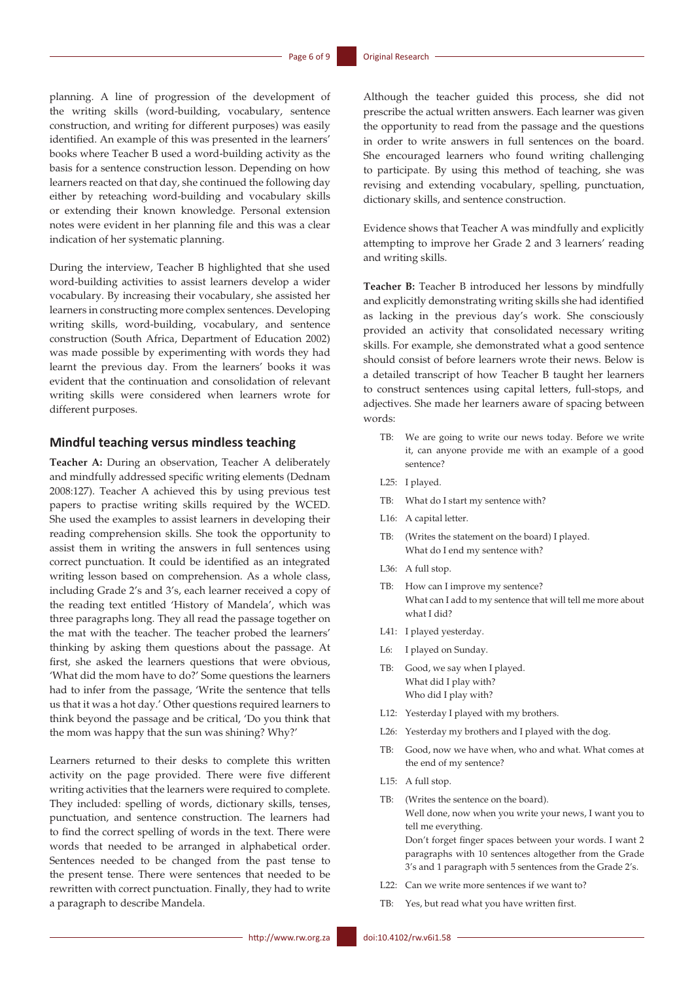planning. A line of progression of the development of the writing skills (word-building, vocabulary, sentence construction, and writing for different purposes) was easily identified. An example of this was presented in the learners' books where Teacher B used a word-building activity as the basis for a sentence construction lesson. Depending on how learners reacted on that day, she continued the following day either by reteaching word-building and vocabulary skills or extending their known knowledge. Personal extension notes were evident in her planning file and this was a clear indication of her systematic planning.

During the interview, Teacher B highlighted that she used word-building activities to assist learners develop a wider vocabulary. By increasing their vocabulary, she assisted her learners in constructing more complex sentences. Developing writing skills, word-building, vocabulary, and sentence construction (South Africa, Department of Education 2002) was made possible by experimenting with words they had learnt the previous day. From the learners' books it was evident that the continuation and consolidation of relevant writing skills were considered when learners wrote for different purposes.

#### **Mindful teaching versus mindless teaching**

**Teacher A:** During an observation, Teacher A deliberately and mindfully addressed specific writing elements (Dednam 2008:127). Teacher A achieved this by using previous test papers to practise writing skills required by the WCED. She used the examples to assist learners in developing their reading comprehension skills. She took the opportunity to assist them in writing the answers in full sentences using correct punctuation. It could be identified as an integrated writing lesson based on comprehension. As a whole class, including Grade 2's and 3's, each learner received a copy of the reading text entitled 'History of Mandela', which was three paragraphs long. They all read the passage together on the mat with the teacher. The teacher probed the learners' thinking by asking them questions about the passage. At first, she asked the learners questions that were obvious, 'What did the mom have to do?' Some questions the learners had to infer from the passage, 'Write the sentence that tells us that it was a hot day.' Other questions required learners to think beyond the passage and be critical, 'Do you think that the mom was happy that the sun was shining? Why?'

Learners returned to their desks to complete this written activity on the page provided. There were five different writing activities that the learners were required to complete. They included: spelling of words, dictionary skills, tenses, punctuation, and sentence construction. The learners had to find the correct spelling of words in the text. There were words that needed to be arranged in alphabetical order. Sentences needed to be changed from the past tense to the present tense. There were sentences that needed to be rewritten with correct punctuation. Finally, they had to write a paragraph to describe Mandela.

Although the teacher guided this process, she did not prescribe the actual written answers. Each learner was given the opportunity to read from the passage and the questions in order to write answers in full sentences on the board. She encouraged learners who found writing challenging to participate. By using this method of teaching, she was revising and extending vocabulary, spelling, punctuation, dictionary skills, and sentence construction.

Evidence shows that Teacher A was mindfully and explicitly attempting to improve her Grade 2 and 3 learners' reading and writing skills.

**Teacher B:** Teacher B introduced her lessons by mindfully and explicitly demonstrating writing skills she had identified as lacking in the previous day's work. She consciously provided an activity that consolidated necessary writing skills. For example, she demonstrated what a good sentence should consist of before learners wrote their news. Below is a detailed transcript of how Teacher B taught her learners to construct sentences using capital letters, full-stops, and adjectives. She made her learners aware of spacing between words:

- TB: We are going to write our news today. Before we write it, can anyone provide me with an example of a good sentence?
- L25: I played.
- TB: What do I start my sentence with?
- L16: A capital letter.
- TB: (Writes the statement on the board) I played. What do I end my sentence with?
- L36: A full stop.
- TB: How can I improve my sentence? What can I add to my sentence that will tell me more about what I did?
- L41: I played yesterday.
- L6: I played on Sunday.
- TB: Good, we say when I played. What did I play with? Who did I play with?
- L12: Yesterday I played with my brothers.
- L26: Yesterday my brothers and I played with the dog.
- TB: Good, now we have when, who and what. What comes at the end of my sentence?
- L15: A full stop.
- TB: (Writes the sentence on the board). Well done, now when you write your news, I want you to tell me everything. Don't forget finger spaces between your words. I want 2 paragraphs with 10 sentences altogether from the Grade 3's and 1 paragraph with 5 sentences from the Grade 2's.
- L22: Can we write more sentences if we want to?
- TB: Yes, but read what you have written first.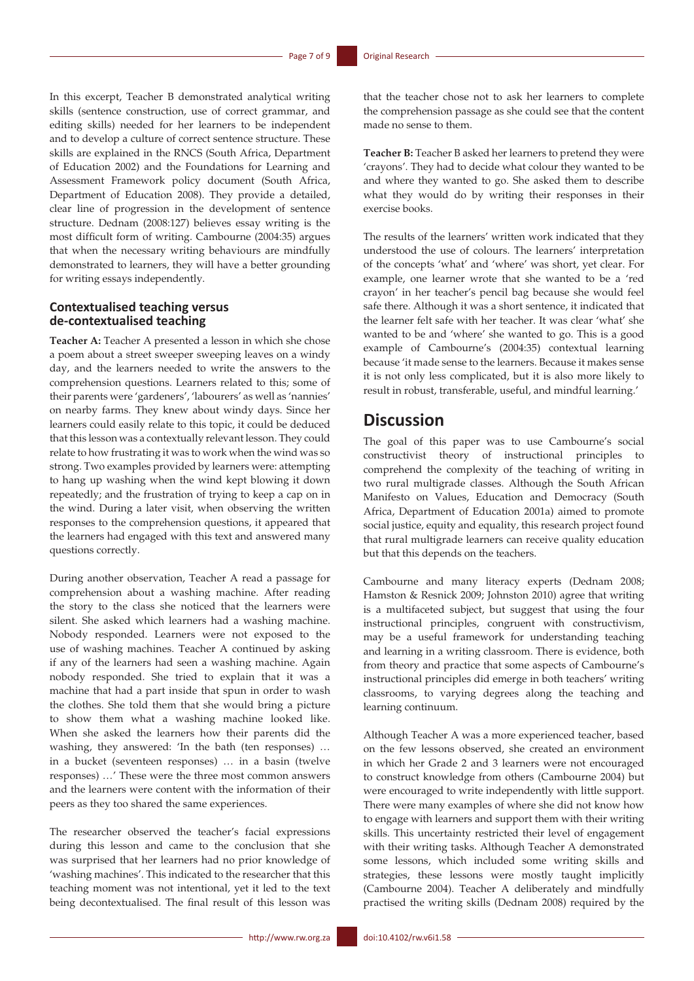In this excerpt, Teacher B demonstrated analytical writing skills (sentence construction, use of correct grammar, and editing skills) needed for her learners to be independent and to develop a culture of correct sentence structure. These skills are explained in the RNCS (South Africa, Department of Education 2002) and the Foundations for Learning and Assessment Framework policy document (South Africa, Department of Education 2008). They provide a detailed, clear line of progression in the development of sentence structure. Dednam (2008:127) believes essay writing is the most difficult form of writing. Cambourne (2004:35) argues that when the necessary writing behaviours are mindfully demonstrated to learners, they will have a better grounding for writing essays independently.

### **Contextualised teaching versus de-contextualised teaching**

**Teacher A:** Teacher A presented a lesson in which she chose a poem about a street sweeper sweeping leaves on a windy day, and the learners needed to write the answers to the comprehension questions. Learners related to this; some of their parents were 'gardeners', 'labourers' as well as 'nannies' on nearby farms. They knew about windy days. Since her learners could easily relate to this topic, it could be deduced that this lesson was a contextually relevant lesson. They could relate to how frustrating it was to work when the wind was so strong. Two examples provided by learners were: attempting to hang up washing when the wind kept blowing it down repeatedly; and the frustration of trying to keep a cap on in the wind. During a later visit, when observing the written responses to the comprehension questions, it appeared that the learners had engaged with this text and answered many questions correctly.

During another observation, Teacher A read a passage for comprehension about a washing machine. After reading the story to the class she noticed that the learners were silent. She asked which learners had a washing machine. Nobody responded. Learners were not exposed to the use of washing machines. Teacher A continued by asking if any of the learners had seen a washing machine. Again nobody responded. She tried to explain that it was a machine that had a part inside that spun in order to wash the clothes. She told them that she would bring a picture to show them what a washing machine looked like. When she asked the learners how their parents did the washing, they answered: 'In the bath (ten responses) … in a bucket (seventeen responses) … in a basin (twelve responses) …' These were the three most common answers and the learners were content with the information of their peers as they too shared the same experiences.

The researcher observed the teacher's facial expressions during this lesson and came to the conclusion that she was surprised that her learners had no prior knowledge of 'washing machines'. This indicated to the researcher that this teaching moment was not intentional, yet it led to the text being decontextualised. The final result of this lesson was

that the teacher chose not to ask her learners to complete the comprehension passage as she could see that the content made no sense to them.

**Teacher B:** Teacher B asked her learners to pretend they were 'crayons'. They had to decide what colour they wanted to be and where they wanted to go. She asked them to describe what they would do by writing their responses in their exercise books.

The results of the learners' written work indicated that they understood the use of colours. The learners' interpretation of the concepts 'what' and 'where' was short, yet clear. For example, one learner wrote that she wanted to be a 'red crayon' in her teacher's pencil bag because she would feel safe there. Although it was a short sentence, it indicated that the learner felt safe with her teacher. It was clear 'what' she wanted to be and 'where' she wanted to go. This is a good example of Cambourne's (2004:35) contextual learning because 'it made sense to the learners. Because it makes sense it is not only less complicated, but it is also more likely to result in robust, transferable, useful, and mindful learning.'

# **Discussion**

The goal of this paper was to use Cambourne's social constructivist theory of instructional principles to comprehend the complexity of the teaching of writing in two rural multigrade classes. Although the South African Manifesto on Values, Education and Democracy (South Africa, Department of Education 2001a) aimed to promote social justice, equity and equality, this research project found that rural multigrade learners can receive quality education but that this depends on the teachers.

Cambourne and many literacy experts (Dednam 2008; Hamston & Resnick 2009; Johnston 2010) agree that writing is a multifaceted subject, but suggest that using the four instructional principles, congruent with constructivism, may be a useful framework for understanding teaching and learning in a writing classroom. There is evidence, both from theory and practice that some aspects of Cambourne's instructional principles did emerge in both teachers' writing classrooms, to varying degrees along the teaching and learning continuum.

Although Teacher A was a more experienced teacher, based on the few lessons observed, she created an environment in which her Grade 2 and 3 learners were not encouraged to construct knowledge from others (Cambourne 2004) but were encouraged to write independently with little support. There were many examples of where she did not know how to engage with learners and support them with their writing skills. This uncertainty restricted their level of engagement with their writing tasks. Although Teacher A demonstrated some lessons, which included some writing skills and strategies, these lessons were mostly taught implicitly (Cambourne 2004). Teacher A deliberately and mindfully practised the writing skills (Dednam 2008) required by the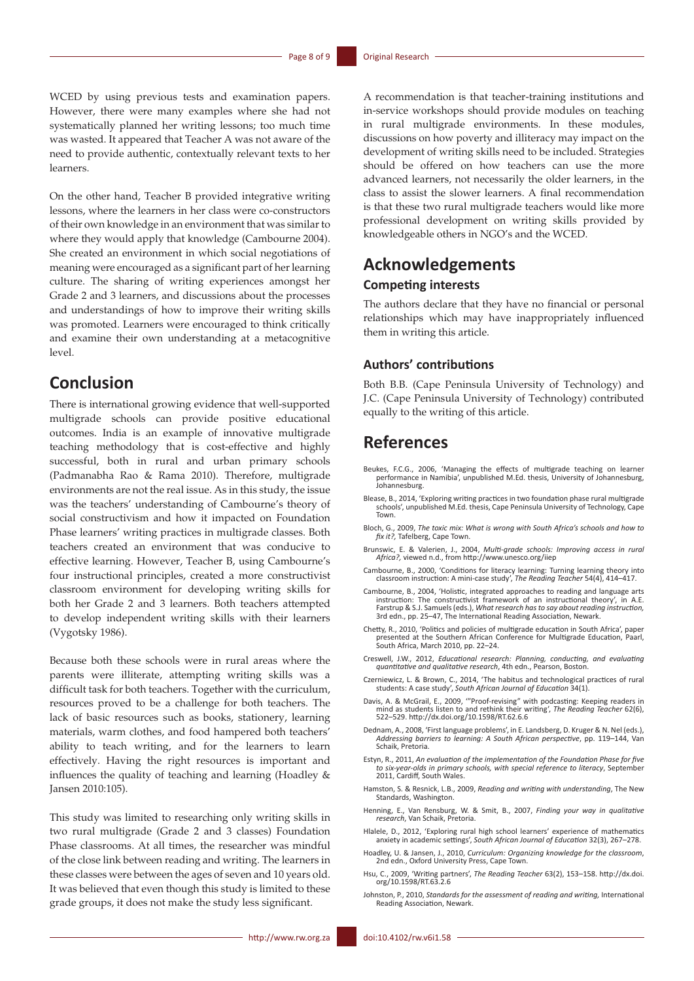WCED by using previous tests and examination papers. However, there were many examples where she had not systematically planned her writing lessons; too much time was wasted. It appeared that Teacher A was not aware of the need to provide authentic, contextually relevant texts to her learners.

On the other hand, Teacher B provided integrative writing lessons, where the learners in her class were co-constructors of their own knowledge in an environment that was similar to where they would apply that knowledge (Cambourne 2004). She created an environment in which social negotiations of meaning were encouraged as a significant part of her learning culture. The sharing of writing experiences amongst her Grade 2 and 3 learners, and discussions about the processes and understandings of how to improve their writing skills was promoted. Learners were encouraged to think critically and examine their own understanding at a metacognitive level.

# **Conclusion**

There is international growing evidence that well-supported multigrade schools can provide positive educational outcomes. India is an example of innovative multigrade teaching methodology that is cost-effective and highly successful, both in rural and urban primary schools (Padmanabha Rao & Rama 2010). Therefore, multigrade environments are not the real issue. As in this study, the issue was the teachers' understanding of Cambourne's theory of social constructivism and how it impacted on Foundation Phase learners' writing practices in multigrade classes. Both teachers created an environment that was conducive to effective learning. However, Teacher B, using Cambourne's four instructional principles, created a more constructivist classroom environment for developing writing skills for both her Grade 2 and 3 learners. Both teachers attempted to develop independent writing skills with their learners (Vygotsky 1986).

Because both these schools were in rural areas where the parents were illiterate, attempting writing skills was a difficult task for both teachers. Together with the curriculum, resources proved to be a challenge for both teachers. The lack of basic resources such as books, stationery, learning materials, warm clothes, and food hampered both teachers' ability to teach writing, and for the learners to learn effectively. Having the right resources is important and influences the quality of teaching and learning (Hoadley & Jansen 2010:105).

This study was limited to researching only writing skills in two rural multigrade (Grade 2 and 3 classes) Foundation Phase classrooms. At all times, the researcher was mindful of the close link between reading and writing. The learners in these classes were between the ages of seven and 10 years old. It was believed that even though this study is limited to these grade groups, it does not make the study less significant.

A recommendation is that teacher-training institutions and in-service workshops should provide modules on teaching in rural multigrade environments. In these modules, discussions on how poverty and illiteracy may impact on the development of writing skills need to be included. Strategies should be offered on how teachers can use the more advanced learners, not necessarily the older learners, in the class to assist the slower learners. A final recommendation is that these two rural multigrade teachers would like more professional development on writing skills provided by knowledgeable others in NGO's and the WCED.

# **Acknowledgements Competing interests**

The authors declare that they have no financial or personal relationships which may have inappropriately influenced them in writing this article.

### **Authors' contributions**

Both B.B. (Cape Peninsula University of Technology) and J.C. (Cape Peninsula University of Technology) contributed equally to the writing of this article.

### **References**

- Beukes, F.C.G., 2006, 'Managing the effects of multigrade teaching on learner performance in Namibia', unpublished M.Ed. thesis, University of Johannesburg, Johannesburg.
- Blease, B., 2014, 'Exploring writing practices in two foundation phase rural multigrade schools', unpublished M.Ed. thesis, Cape Peninsula University of Technology, Cape Town.
- Bloch, G., 2009, *The toxic mix: What is wrong with South Africa's schools and how to fix it?,* Tafelberg, Cape Town.
- Brunswic, E. & Valerien, J., 2004, *Multi-grade schools: Improving access in rural Africa?,* viewed n.d., from<http://www.unesco.org/iiep>
- Cambourne, B., 2000, 'Conditions for literacy learning: Turning learning theory into classroom instruction: A mini-case study', *The Reading Teacher* 54(4), 414–417.
- Cambourne, B., 2004, 'Holistic, integrated approaches to reading and language arts instruction: The constructivist framework of an instructional theory', in A.E. Farstrup & S.J. Samuels (eds.), *What research has to say about reading instruction,*  3rd edn., pp. 25–47, The International Reading Association, Newark.
- Chetty, R., 2010, 'Politics and policies of multigrade education in South Africa', paper presented at the Southern African Conference for Multigrade Education, Paarl, South Africa, March 2010, pp. 22–24.
- Creswell, J.W., 2012, *Educational research: Planning, conducting, and evaluating quantitative and qualitative research*, 4th edn., Pearson, Boston.
- Czerniewicz, L. & Brown, C., 2014, 'The habitus and technological practices of rural students: A case study', *South African Journal of Education* 34(1).
- Davis, A. & McGrail, E., 2009, '"Proof-revising" with podcasting: Keeping readers in mind as students listen to and rethink their writing', *The Reading Teacher* 62(6), 522–529. <http://dx.doi.org/10.1598/RT.62.6.6>
- Dednam, A., 2008, 'First language problems', in E. Landsberg, D. Kruger & N. Nel (eds.), *Addressing barriers to learning: A South African perspective*, pp. 119–144, Van Schaik, Pretoria.
- Estyn, R., 2011, *An evaluation of the implementation of the Foundation Phase for five to six-year-olds in primary schools, with special reference to literacy*, September 2011, Cardiff, South Wales.
- Hamston, S. & Resnick, L.B., 2009, *Reading and writing with understanding*, The New Standards, Washington.
- Henning, E., Van Rensburg, W. & Smit, B., 2007, *Finding your way in qualitative research*, Van Schaik, Pretoria.
- Hlalele, D., 2012, 'Exploring rural high school learners' experience of mathematics anxiety in academic settings', *South African Journal of Education* 32(3), 267–278.
- Hoadley, U. & Jansen, J., 2010, *Curriculum: Organizing knowledge for the classroom*, 2nd edn., Oxford University Press, Cape Town.
- Hsu, C., 2009, 'Writing partners', *The Reading Teacher* 63(2), 153–158. [http://dx.doi.](http://dx.doi.org/10.1598/RT.63.2.6) [org/10.1598/RT.63.2.6](http://dx.doi.org/10.1598/RT.63.2.6)
- Johnston, P., 2010, *Standards for the assessment of reading and writing,* International Reading Association, Newark.